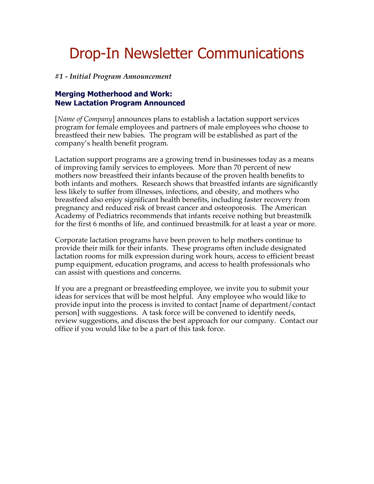# Drop-In Newsletter Communications

#### *#1 - Initial Program Announcement*

## **Merging Motherhood and Work: New Lactation Program Announced**

[*Name of Company*] announces plans to establish a lactation support services program for female employees and partners of male employees who choose to breastfeed their new babies. The program will be established as part of the company's health benefit program.

Lactation support programs are a growing trend in businesses today as a means of improving family services to employees. More than 70 percent of new mothers now breastfeed their infants because of the proven health benefits to both infants and mothers. Research shows that breastfed infants are significantly less likely to suffer from illnesses, infections, and obesity, and mothers who breastfeed also enjoy significant health benefits, including faster recovery from pregnancy and reduced risk of breast cancer and osteoporosis. The American Academy of Pediatrics recommends that infants receive nothing but breastmilk for the first 6 months of life, and continued breastmilk for at least a year or more.

Corporate lactation programs have been proven to help mothers continue to provide their milk for their infants. These programs often include designated lactation rooms for milk expression during work hours, access to efficient breast pump equipment, education programs, and access to health professionals who can assist with questions and concerns.

If you are a pregnant or breastfeeding employee, we invite you to submit your ideas for services that will be most helpful. Any employee who would like to provide input into the process is invited to contact [name of department/contact person] with suggestions. A task force will be convened to identify needs, review suggestions, and discuss the best approach for our company. Contact our office if you would like to be a part of this task force.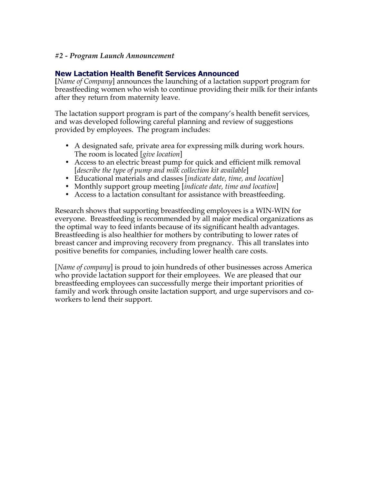### *#2 - Program Launch Announcement*

## **New Lactation Health Benefit Services Announced**

**[***Name of Company*] announces the launching of a lactation support program for breastfeeding women who wish to continue providing their milk for their infants after they return from maternity leave.

The lactation support program is part of the company's health benefit services, and was developed following careful planning and review of suggestions provided by employees. The program includes:

- A designated safe, private area for expressing milk during work hours. The room is located [*give location*]
- Access to an electric breast pump for quick and efficient milk removal [*describe the type of pump and milk collection kit available*]
- Educational materials and classes [*indicate date, time, and location*]
- Monthly support group meeting [*indicate date, time and location*]
- Access to a lactation consultant for assistance with breastfeeding.

Research shows that supporting breastfeeding employees is a WIN-WIN for everyone. Breastfeeding is recommended by all major medical organizations as the optimal way to feed infants because of its significant health advantages. Breastfeeding is also healthier for mothers by contributing to lower rates of breast cancer and improving recovery from pregnancy. This all translates into positive benefits for companies, including lower health care costs.

[*Name of company*] is proud to join hundreds of other businesses across America who provide lactation support for their employees. We are pleased that our breastfeeding employees can successfully merge their important priorities of family and work through onsite lactation support, and urge supervisors and coworkers to lend their support.